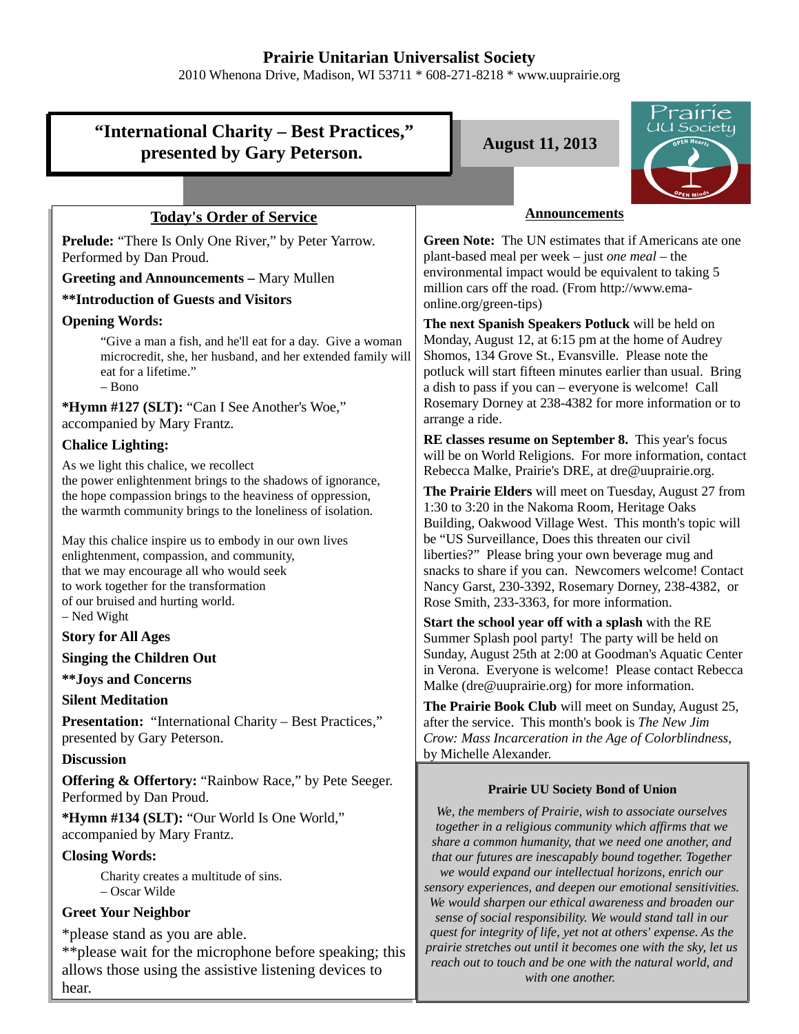## **Prairie Unitarian Universalist Society**

2010 Whenona Drive, Madison, WI 53711 \* 608-271-8218 \* www.uuprairie.org

# **"International Charity – Best Practices,"** presented by Gary Peterson. **August 11, 2013**



## **Today's Order of Service**

**Prelude:** "There Is Only One River," by Peter Yarrow. Performed by Dan Proud.

**Greeting and Announcements –** Mary Mullen

**\*\*Introduction of Guests and Visitors**

## **Opening Words:**

"Give a man a fish, and he'll eat for a day. Give a woman microcredit, she, her husband, and her extended family will eat for a lifetime." – Bono

**\*Hymn #127 (SLT):** "Can I See Another's Woe," accompanied by Mary Frantz.

## **Chalice Lighting:**

As we light this chalice, we recollect the power enlightenment brings to the shadows of ignorance, the hope compassion brings to the heaviness of oppression, the warmth community brings to the loneliness of isolation.

May this chalice inspire us to embody in our own lives enlightenment, compassion, and community, that we may encourage all who would seek to work together for the transformation of our bruised and hurting world. – Ned Wight

## **Story for All Ages**

**Singing the Children Out**

**\*\*Joys and Concerns**

## **Silent Meditation**

**Presentation:** "International Charity – Best Practices," presented by Gary Peterson.

## **Discussion**

**Offering & Offertory:** "Rainbow Race," by Pete Seeger. Performed by Dan Proud.

**\*Hymn #134 (SLT):** "Our World Is One World," accompanied by Mary Frantz.

## **Closing Words:**

Charity creates a multitude of sins. – Oscar Wilde

## **Greet Your Neighbor**

\*please stand as you are able.

\*\*please wait for the microphone before speaking; this allows those using the assistive listening devices to hear.

## **Announcements**

**Green Note:** The UN estimates that if Americans ate one plant-based meal per week – just *one meal –* the environmental impact would be equivalent to taking 5 million cars off the road. (From http://www.emaonline.org/green-tips)

**The next Spanish Speakers Potluck** will be held on Monday, August 12, at 6:15 pm at the home of Audrey Shomos, 134 Grove St., Evansville. Please note the potluck will start fifteen minutes earlier than usual. Bring a dish to pass if you can – everyone is welcome! Call Rosemary Dorney at 238-4382 for more information or to arrange a ride.

**RE classes resume on September 8.** This year's focus will be on World Religions. For more information, contact Rebecca Malke, Prairie's DRE, at dre@uuprairie.org.

**The Prairie Elders** will meet on Tuesday, August 27 from 1:30 to 3:20 in the Nakoma Room, Heritage Oaks Building, Oakwood Village West. This month's topic will be "US Surveillance, Does this threaten our civil liberties?" Please bring your own beverage mug and snacks to share if you can. Newcomers welcome! Contact Nancy Garst, 230-3392, Rosemary Dorney, 238-4382, or Rose Smith, 233-3363, for more information.

**Start the school year off with a splash** with the RE Summer Splash pool party! The party will be held on Sunday, August 25th at 2:00 at Goodman's Aquatic Center in Verona. Everyone is welcome! Please contact Rebecca Malke (dre@uuprairie.org) for more information.

**The Prairie Book Club** will meet on Sunday, August 25, after the service. This month's book is *The New Jim Crow: Mass Incarceration in the Age of Colorblindness*, by Michelle Alexander.

## **Prairie UU Society Bond of Union**

*We, the members of Prairie, wish to associate ourselves together in a religious community which affirms that we share a common humanity, that we need one another, and that our futures are inescapably bound together. Together we would expand our intellectual horizons, enrich our sensory experiences, and deepen our emotional sensitivities. We would sharpen our ethical awareness and broaden our sense of social responsibility. We would stand tall in our quest for integrity of life, yet not at others' expense. As the prairie stretches out until it becomes one with the sky, let us reach out to touch and be one with the natural world, and with one another.*